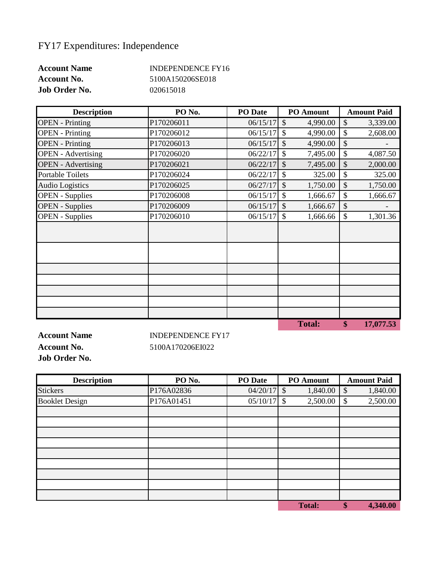## FY17 Expenditures: Independence

| <b>Account Name</b>  | INDEPENDENCE FY16 |
|----------------------|-------------------|
| <b>Account No.</b>   | 5100A150206SE018  |
| <b>Job Order No.</b> | 020615018         |

| <b>Description</b>        | PO <sub>No.</sub> | <b>PO</b> Date | <b>PO</b> Amount          | <b>Amount Paid</b> |
|---------------------------|-------------------|----------------|---------------------------|--------------------|
| <b>OPEN</b> - Printing    | P170206011        | 06/15/17       | $\mathcal{S}$<br>4,990.00 | \$<br>3,339.00     |
| <b>OPEN</b> - Printing    | P170206012        | 06/15/17       | \$<br>4,990.00            | \$<br>2,608.00     |
| <b>OPEN</b> - Printing    | P170206013        | 06/15/17       | \$<br>4,990.00            | \$                 |
| <b>OPEN</b> - Advertising | P170206020        | 06/22/17       | \$<br>7,495.00            | \$<br>4,087.50     |
| <b>OPEN</b> - Advertising | P170206021        | 06/22/17       | 7,495.00<br>\$            | \$<br>2,000.00     |
| <b>Portable Toilets</b>   | P170206024        | 06/22/17       | \$<br>325.00              | \$<br>325.00       |
| <b>Audio Logistics</b>    | P170206025        | 06/27/17       | \$<br>1,750.00            | \$<br>1,750.00     |
| <b>OPEN</b> - Supplies    | P170206008        | 06/15/17       | \$<br>1,666.67            | \$<br>1,666.67     |
| <b>OPEN</b> - Supplies    | P170206009        | 06/15/17       | \$<br>1,666.67            | \$                 |
| <b>OPEN</b> - Supplies    | P170206010        | 06/15/17       | \$<br>1,666.66            | \$<br>1,301.36     |
|                           |                   |                |                           |                    |
|                           |                   |                |                           |                    |
|                           |                   |                |                           |                    |
|                           |                   |                |                           |                    |
|                           |                   |                |                           |                    |
|                           |                   |                |                           |                    |
|                           |                   |                |                           |                    |
|                           |                   |                |                           |                    |
|                           |                   |                | <b>Total:</b>             | \$<br>17,077.53    |

**Job Order No.**

**Account Name INDEPENDENCE FY17 Account No.** 5100A170206EI022

**Description PO No. PO Date PO Amount Amount Paid** Stickers P176A02836 P176A02836 1,840.00 \$ 1,840.00 Booklet Design P176A01451 05/10/17 \$ 2,500.00 \$ 2,500.00

**Total: \$ 4,340.00**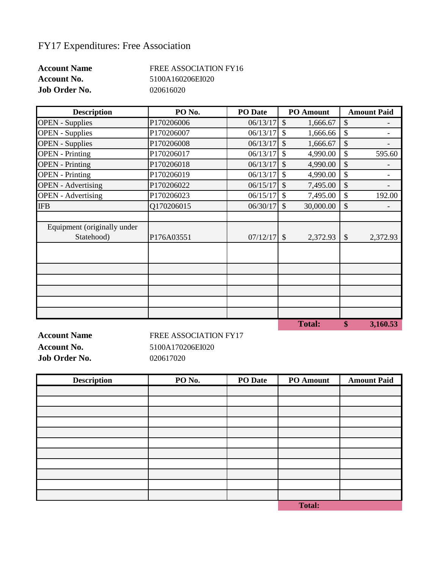## FY17 Expenditures: Free Association

| <b>Account Name</b>  | FREE ASSOCIATION FY16 |
|----------------------|-----------------------|
| <b>Account No.</b>   | 5100A160206EI020      |
| <b>Job Order No.</b> | 020616020             |

| <b>Description</b>          | PO <sub>No.</sub> | <b>PO</b> Date |               | <b>PO</b> Amount |                           | <b>Amount Paid</b> |
|-----------------------------|-------------------|----------------|---------------|------------------|---------------------------|--------------------|
| <b>OPEN</b> - Supplies      | P170206006        | 06/13/17       | $\mathcal{S}$ | 1,666.67         | \$                        |                    |
| <b>OPEN</b> - Supplies      | P170206007        | 06/13/17       | $\mathcal{S}$ | 1,666.66         | \$                        |                    |
| <b>OPEN</b> - Supplies      | P170206008        | 06/13/17       | $\mathcal{S}$ | 1,666.67         | \$                        |                    |
| <b>OPEN</b> - Printing      | P170206017        | 06/13/17       | $\mathcal{S}$ | 4,990.00         | \$                        | 595.60             |
| <b>OPEN</b> - Printing      | P170206018        | 06/13/17       | $\mathcal{S}$ | 4,990.00         | \$                        |                    |
| <b>OPEN</b> - Printing      | P170206019        | 06/13/17       | $\mathcal{S}$ | 4,990.00         | \$                        |                    |
| <b>OPEN</b> - Advertising   | P170206022        | 06/15/17       | $\mathcal{S}$ | 7,495.00         | \$                        |                    |
| <b>OPEN</b> - Advertising   | P170206023        | 06/15/17       | $\mathcal{S}$ | 7,495.00         | \$                        | 192.00             |
| <b>IFB</b>                  | Q170206015        | 06/30/17       | $\mathcal{S}$ | 30,000.00        | \$                        |                    |
|                             |                   |                |               |                  |                           |                    |
| Equipment (originally under |                   |                |               |                  |                           |                    |
| Statehood)                  | P176A03551        | 07/12/17       | $\mathcal{S}$ | 2,372.93         | $\boldsymbol{\mathsf{S}}$ | 2,372.93           |
|                             |                   |                |               |                  |                           |                    |
|                             |                   |                |               |                  |                           |                    |
|                             |                   |                |               |                  |                           |                    |
|                             |                   |                |               |                  |                           |                    |
|                             |                   |                |               |                  |                           |                    |
|                             |                   |                |               |                  |                           |                    |
|                             |                   |                |               |                  |                           |                    |
|                             |                   |                |               | <b>Total:</b>    | \$                        | 3,160.53           |

**Job Order No.** 020617020

**Account Name** FREE ASSOCIATION FY17 **Account No.** 5100A170206EI020

| <b>Description</b> | PO No. | PO Date | PO Amount     | <b>Amount Paid</b> |
|--------------------|--------|---------|---------------|--------------------|
|                    |        |         |               |                    |
|                    |        |         |               |                    |
|                    |        |         |               |                    |
|                    |        |         |               |                    |
|                    |        |         |               |                    |
|                    |        |         |               |                    |
|                    |        |         |               |                    |
|                    |        |         |               |                    |
|                    |        |         |               |                    |
|                    |        |         |               |                    |
|                    |        |         |               |                    |
|                    |        |         | <b>Total:</b> |                    |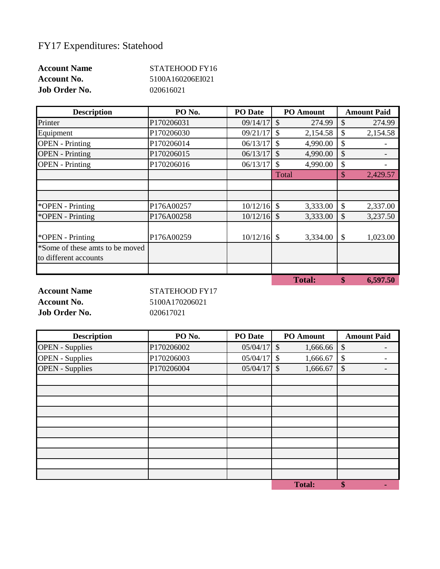## FY17 Expenditures: Statehood

| <b>Account Name</b>  | STATEHOOD FY16   |
|----------------------|------------------|
| <b>Account No.</b>   | 5100A160206EI021 |
| <b>Job Order No.</b> | 020616021        |

| <b>Description</b>              | PO <sub>No.</sub> | <b>PO</b> Date | <b>PO</b> Amount          | <b>Amount Paid</b>        |
|---------------------------------|-------------------|----------------|---------------------------|---------------------------|
| Printer                         | P170206031        | 09/14/17       | $\mathcal{S}$<br>274.99   | \$<br>274.99              |
| Equipment                       | P170206030        | 09/21/17       | $\mathcal{S}$<br>2,154.58 | \$<br>2,154.58            |
| <b>OPEN</b> - Printing          | P170206014        | 06/13/17       | $\mathcal{S}$<br>4,990.00 | \$                        |
| <b>OPEN</b> - Printing          | P170206015        | 06/13/17       | 4,990.00<br>$\mathcal{S}$ | \$                        |
| <b>OPEN</b> - Printing          | P170206016        | 06/13/17       | $\mathcal{S}$<br>4,990.00 | \$                        |
|                                 |                   |                | Total                     | $\mathcal{S}$<br>2,429.57 |
|                                 |                   |                |                           |                           |
|                                 |                   |                |                           |                           |
| *OPEN - Printing                | P176A00257        | $10/12/16$ \$  | 3,333.00                  | \$<br>2,337.00            |
| *OPEN - Printing                | P176A00258        | 10/12/16       | $\mathcal{S}$<br>3,333.00 | \$<br>3,237.50            |
|                                 |                   |                |                           |                           |
| *OPEN - Printing                | P176A00259        | $10/12/16$ \$  | 3,334.00                  | \$<br>1,023.00            |
| *Some of these amts to be moved |                   |                |                           |                           |
| to different accounts           |                   |                |                           |                           |
|                                 |                   |                | <b>Total:</b>             | \$<br>6,597.50            |

**Job Order No.** 020617021

**Account Name** STATEHOOD FY17 **Account No.** 5100A170206021

| <b>Description</b>     | PO <sub>No.</sub> | PO Date       | PO Amount                 | <b>Amount Paid</b> |
|------------------------|-------------------|---------------|---------------------------|--------------------|
| <b>OPEN</b> - Supplies | P170206002        | $05/04/17$ \$ | 1,666.66                  | \$                 |
| <b>OPEN</b> - Supplies | P170206003        | 05/04/17      | $\mathcal{S}$<br>1,666.67 | \$                 |
| <b>OPEN</b> - Supplies | P170206004        | $05/04/17$ \$ | 1,666.67                  | \$                 |
|                        |                   |               |                           |                    |
|                        |                   |               |                           |                    |
|                        |                   |               |                           |                    |
|                        |                   |               |                           |                    |
|                        |                   |               |                           |                    |
|                        |                   |               |                           |                    |
|                        |                   |               |                           |                    |
|                        |                   |               |                           |                    |
|                        |                   |               |                           |                    |
|                        |                   |               |                           |                    |
|                        |                   |               | <b>Total:</b>             | \$                 |